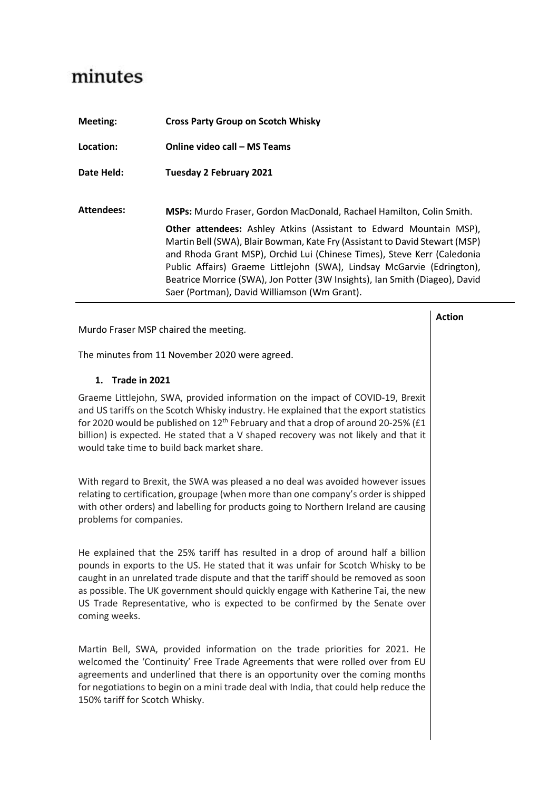## minutes

| Meeting:          | <b>Cross Party Group on Scotch Whisky</b>                                                                                                                                                                                                                                                                                                                                                                                                                                                                            |  |  |
|-------------------|----------------------------------------------------------------------------------------------------------------------------------------------------------------------------------------------------------------------------------------------------------------------------------------------------------------------------------------------------------------------------------------------------------------------------------------------------------------------------------------------------------------------|--|--|
| Location:         | Online video call – MS Teams                                                                                                                                                                                                                                                                                                                                                                                                                                                                                         |  |  |
| Date Held:        | <b>Tuesday 2 February 2021</b>                                                                                                                                                                                                                                                                                                                                                                                                                                                                                       |  |  |
| <b>Attendees:</b> | <b>MSPs:</b> Murdo Fraser, Gordon MacDonald, Rachael Hamilton, Colin Smith.<br>Other attendees: Ashley Atkins (Assistant to Edward Mountain MSP),<br>Martin Bell (SWA), Blair Bowman, Kate Fry (Assistant to David Stewart (MSP)<br>and Rhoda Grant MSP), Orchid Lui (Chinese Times), Steve Kerr (Caledonia<br>Public Affairs) Graeme Littlejohn (SWA), Lindsay McGarvie (Edrington),<br>Beatrice Morrice (SWA), Jon Potter (3W Insights), Ian Smith (Diageo), David<br>Saer (Portman), David Williamson (Wm Grant). |  |  |

**Action**

Murdo Fraser MSP chaired the meeting.

The minutes from 11 November 2020 were agreed.

## **1. Trade in 2021**

Graeme Littlejohn, SWA, provided information on the impact of COVID-19, Brexit and US tariffs on the Scotch Whisky industry. He explained that the export statistics for 2020 would be published on  $12<sup>th</sup>$  February and that a drop of around 20-25% (£1 billion) is expected. He stated that a V shaped recovery was not likely and that it would take time to build back market share.

With regard to Brexit, the SWA was pleased a no deal was avoided however issues relating to certification, groupage (when more than one company's order is shipped with other orders) and labelling for products going to Northern Ireland are causing problems for companies.

He explained that the 25% tariff has resulted in a drop of around half a billion pounds in exports to the US. He stated that it was unfair for Scotch Whisky to be caught in an unrelated trade dispute and that the tariff should be removed as soon as possible. The UK government should quickly engage with Katherine Tai, the new US Trade Representative, who is expected to be confirmed by the Senate over coming weeks.

Martin Bell, SWA, provided information on the trade priorities for 2021. He welcomed the 'Continuity' Free Trade Agreements that were rolled over from EU agreements and underlined that there is an opportunity over the coming months for negotiations to begin on a mini trade deal with India, that could help reduce the 150% tariff for Scotch Whisky.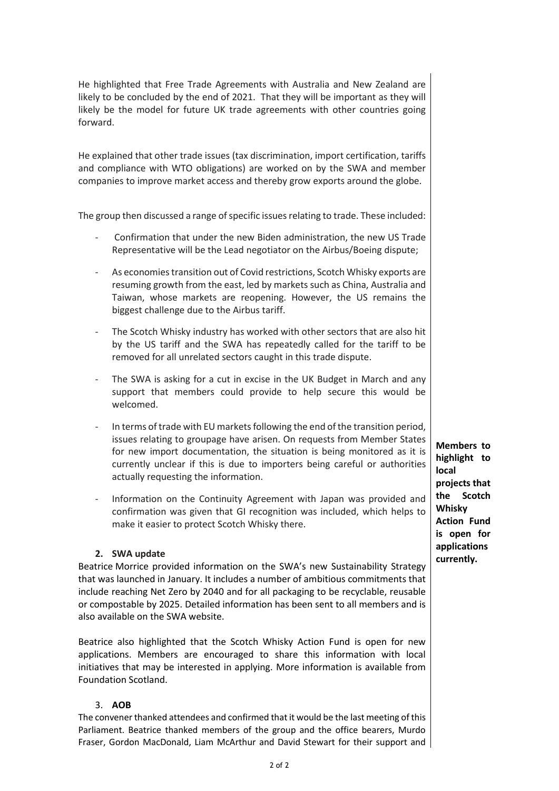| He highlighted that Free Trade Agreements with Australia and New Zealand are<br>likely to be concluded by the end of 2021. That they will be important as they will<br>likely be the model for future UK trade agreements with other countries going<br>forward.                                                                                                                                    |                                                                                                                                                                                                                                                                                                                                                           |                                                              |
|-----------------------------------------------------------------------------------------------------------------------------------------------------------------------------------------------------------------------------------------------------------------------------------------------------------------------------------------------------------------------------------------------------|-----------------------------------------------------------------------------------------------------------------------------------------------------------------------------------------------------------------------------------------------------------------------------------------------------------------------------------------------------------|--------------------------------------------------------------|
| He explained that other trade issues (tax discrimination, import certification, tariffs<br>and compliance with WTO obligations) are worked on by the SWA and member<br>companies to improve market access and thereby grow exports around the globe.                                                                                                                                                |                                                                                                                                                                                                                                                                                                                                                           |                                                              |
| The group then discussed a range of specific issues relating to trade. These included:                                                                                                                                                                                                                                                                                                              |                                                                                                                                                                                                                                                                                                                                                           |                                                              |
| $\overline{\phantom{a}}$                                                                                                                                                                                                                                                                                                                                                                            | Confirmation that under the new Biden administration, the new US Trade<br>Representative will be the Lead negotiator on the Airbus/Boeing dispute;                                                                                                                                                                                                        |                                                              |
| $\overline{\phantom{a}}$                                                                                                                                                                                                                                                                                                                                                                            | As economies transition out of Covid restrictions, Scotch Whisky exports are<br>resuming growth from the east, led by markets such as China, Australia and<br>Taiwan, whose markets are reopening. However, the US remains the<br>biggest challenge due to the Airbus tariff.                                                                             |                                                              |
| $\overline{\phantom{a}}$                                                                                                                                                                                                                                                                                                                                                                            | The Scotch Whisky industry has worked with other sectors that are also hit<br>by the US tariff and the SWA has repeatedly called for the tariff to be<br>removed for all unrelated sectors caught in this trade dispute.                                                                                                                                  |                                                              |
| $\overline{\phantom{a}}$                                                                                                                                                                                                                                                                                                                                                                            | The SWA is asking for a cut in excise in the UK Budget in March and any<br>support that members could provide to help secure this would be<br>welcomed.                                                                                                                                                                                                   |                                                              |
| $\overline{\phantom{a}}$                                                                                                                                                                                                                                                                                                                                                                            | In terms of trade with EU markets following the end of the transition period,<br>issues relating to groupage have arisen. On requests from Member States<br>for new import documentation, the situation is being monitored as it is<br>currently unclear if this is due to importers being careful or authorities<br>actually requesting the information. | <b>Members to</b><br>highlight to<br>local<br>projects that  |
|                                                                                                                                                                                                                                                                                                                                                                                                     | Information on the Continuity Agreement with Japan was provided and<br>confirmation was given that GI recognition was included, which helps to<br>make it easier to protect Scotch Whisky there.                                                                                                                                                          | Scotch<br>the<br>Whisky<br><b>Action Fund</b><br>is open for |
| 2. SWA update<br>Beatrice Morrice provided information on the SWA's new Sustainability Strategy<br>that was launched in January. It includes a number of ambitious commitments that<br>include reaching Net Zero by 2040 and for all packaging to be recyclable, reusable<br>or compostable by 2025. Detailed information has been sent to all members and is<br>also available on the SWA website. |                                                                                                                                                                                                                                                                                                                                                           | applications<br>currently.                                   |

Beatrice also highlighted that the Scotch Whisky Action Fund is open for new applications. Members are encouraged to share this information with local initiatives that may be interested in applying. More information is available from Foundation Scotland.

## 3. **AOB**

The convener thanked attendees and confirmed that it would be the last meeting of this Parliament. Beatrice thanked members of the group and the office bearers, Murdo Fraser, Gordon MacDonald, Liam McArthur and David Stewart for their support and